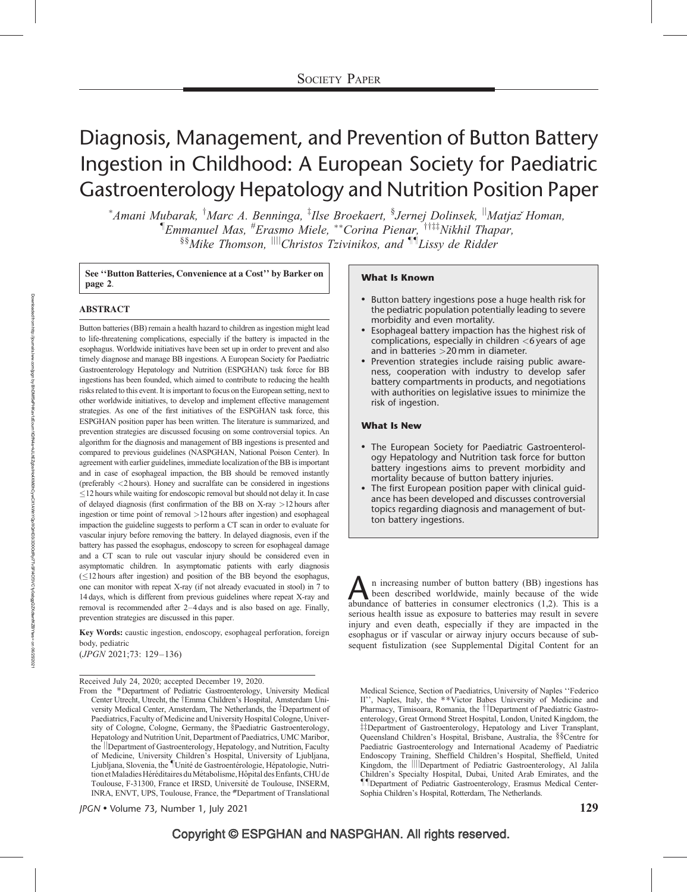# Diagnosis, Management, and Prevention of Button Battery Ingestion in Childhood: A European Society for Paediatric Gastroenterology Hepatology and Nutrition Position Paper

\*Amani Mubarak, <sup>†</sup>Marc A. Benninga, <sup>‡</sup>Ilse Broekaert, <sup>§</sup>Jernej Dolinsek, <sup>||</sup>Matjazॅ Homan, <sup>¶</sup>Emmanuel Mas, <sup>#</sup>Erasmo Miele, \*\*Corina Pienar, <sup>\*††‡‡</sup>Nikhil Thapar, §§Mike Thomson, <sup>||||</sup>Christos Tzivinikos, and <sup>¶¶</sup>Lissy de Ridder

See "Button Batteries, Convenience at a Cost" by Barker on **What Is Known**<br>page 2.

#### ABSTRACT

Button batteries (BB) remain a health hazard to children as ingestion might lead to life-threatening complications, especially if the battery is impacted in the esophagus. Worldwide initiatives have been set up in order to prevent and also timely diagnose and manage BB ingestions. A European Society for Paediatric Gastroenterology Hepatology and Nutrition (ESPGHAN) task force for BB ingestions has been founded, which aimed to contribute to reducing the health risks related to this event. It is important to focus on the European setting, next to other worldwide initiatives, to develop and implement effective management strategies. As one of the first initiatives of the ESPGHAN task force, this ESPGHAN position paper has been written. The literature is summarized, and prevention strategies are discussed focusing on some controversial topics. An algorithm for the diagnosis and management of BB ingestions is presented and compared to previous guidelines (NASPGHAN, National Poison Center). In agreement with earlier guidelines, immediate localization of the BB is important and in case of esophageal impaction, the BB should be removed instantly (preferably <2 hours). Honey and sucralfate can be considered in ingestions  $\leq$ 12 hours while waiting for endoscopic removal but should not delay it. In case of delayed diagnosis (first confirmation of the BB on X-ray >12 hours after ingestion or time point of removal >12 hours after ingestion) and esophageal impaction the guideline suggests to perform a CT scan in order to evaluate for vascular injury before removing the battery. In delayed diagnosis, even if the battery has passed the esophagus, endoscopy to screen for esophageal damage and a CT scan to rule out vascular injury should be considered even in asymptomatic children. In asymptomatic patients with early diagnosis  $(\leq 12$  hours after ingestion) and position of the BB beyond the esophagus, one can monitor with repeat X-ray (if not already evacuated in stool) in 7 to 14 days, which is different from previous guidelines where repeat X-ray and removal is recommended after 2–4 days and is also based on age. Finally, prevention strategies are discussed in this paper.

Key Words: caustic ingestion, endoscopy, esophageal perforation, foreign body, pediatric

(JPGN 2021;73: 129–136)

Received July 24, 2020; accepted December 19, 2020.

From the \*Department of Pediatric Gastroenterology, University Medical Center Utrecht, Utrecht, the †Emma Children's Hospital, Amsterdam University Medical Center, Amsterdam, The Netherlands, the ‡Department of Paediatrics, Faculty of Medicine and University Hospital Cologne, University of Cologne, Cologne, Germany, the §Paediatric Gastroenterology, Hepatology and Nutrition Unit, Department of Paediatrics, UMC Maribor, the *Department of Gastroenterology*, Hepatology, and Nutrition, Faculty of Medicine, University Children's Hospital, University of Ljubljana, Ljubljana, Slovenia, the "Unité de Gastroentérologie, Hépatologie, Nutrition et Maladies Héréditaires du Métabolisme, Hôpital des Enfants, CHU de Toulouse, F-31300, France et IRSD, Université de Toulouse, INSERM, INRA, ENVT, UPS, Toulouse, France, the #Department of Translational

 $\mu$ GN • Volume 73, Number 1, July 2021 129

- Button battery ingestions pose a huge health risk for the pediatric population potentially leading to severe morbidity and even mortality.
- Esophageal battery impaction has the highest risk of complications, especially in children <6 years of age and in batteries >20 mm in diameter.
- Prevention strategies include raising public awareness, cooperation with industry to develop safer battery compartments in products, and negotiations with authorities on legislative issues to minimize the risk of ingestion.

#### What Is New

- The European Society for Paediatric Gastroenterology Hepatology and Nutrition task force for button battery ingestions aims to prevent morbidity and mortality because of button battery injuries.
- The first European position paper with clinical guidance has been developed and discusses controversial topics regarding diagnosis and management of button battery ingestions.

n increasing number of button battery (BB) ingestions has been described worldwide, mainly because of the wide abundance of batteries in consumer electronics (1,2). This is a serious health issue as exposure to batteries may result in severe injury and even death, especially if they are impacted in the esophagus or if vascular or airway injury occurs because of subsequent fistulization (see Supplemental Digital Content for an

Medical Science, Section of Paediatrics, University of Naples ''Federico II'', Naples, Italy, the \*\*Victor Babes University of Medicine and Pharmacy, Timisoara, Romania, the *TDepartment* of Paediatric Gastroenterology, Great Ormond Street Hospital, London, United Kingdom, the <sup>‡‡</sup>Department of Gastroenterology, Hepatology and Liver Transplant, Queensland Children's Hospital, Brisbane, Australia, the §§Centre for Paediatric Gastroenterology and International Academy of Paediatric Endoscopy Training, Sheffield Children's Hospital, Sheffield, United Kingdom, the **ill**Department of Pediatric Gastroenterology, Al Jalila Children's Specialty Hospital, Dubai, United Arab Emirates, and the --Department of Pediatric Gastroenterology, Erasmus Medical Center-Sophia Children's Hospital, Rotterdam, The Netherlands.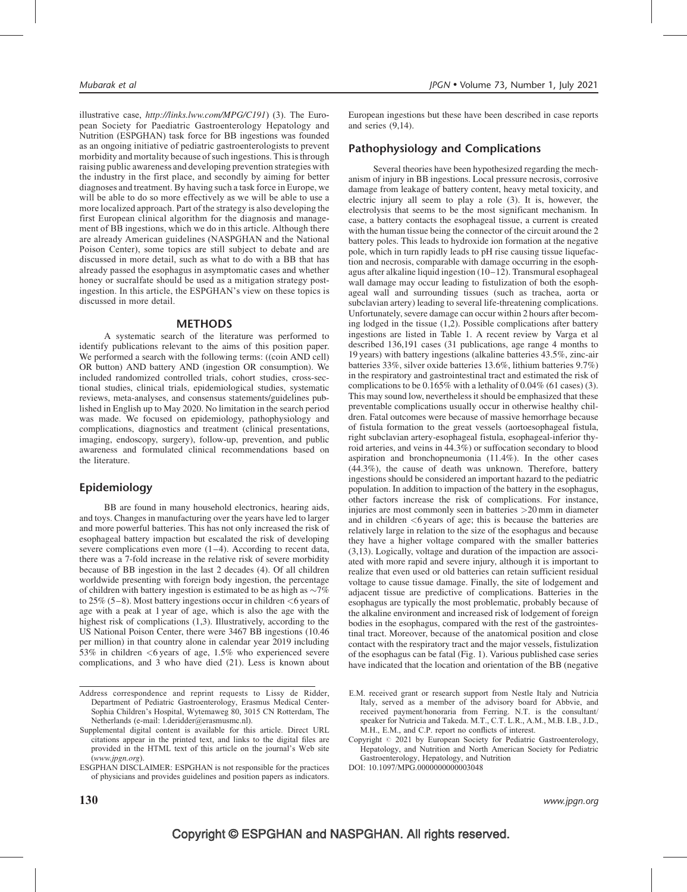illustrative case, <http://links.lww.com/MPG/C191>) (3). The European Society for Paediatric Gastroenterology Hepatology and Nutrition (ESPGHAN) task force for BB ingestions was founded as an ongoing initiative of pediatric gastroenterologists to prevent morbidity and mortality because of such ingestions. This is through raising public awareness and developing prevention strategies with the industry in the first place, and secondly by aiming for better diagnoses and treatment. By having such a task force in Europe, we will be able to do so more effectively as we will be able to use a more localized approach. Part of the strategy is also developing the first European clinical algorithm for the diagnosis and management of BB ingestions, which we do in this article. Although there are already American guidelines (NASPGHAN and the National Poison Center), some topics are still subject to debate and are discussed in more detail, such as what to do with a BB that has already passed the esophagus in asymptomatic cases and whether honey or sucralfate should be used as a mitigation strategy postingestion. In this article, the ESPGHAN's view on these topics is discussed in more detail.

#### METHODS

A systematic search of the literature was performed to identify publications relevant to the aims of this position paper. We performed a search with the following terms: ((coin AND cell) OR button) AND battery AND (ingestion OR consumption). We included randomized controlled trials, cohort studies, cross-sectional studies, clinical trials, epidemiological studies, systematic reviews, meta-analyses, and consensus statements/guidelines published in English up to May 2020. No limitation in the search period was made. We focused on epidemiology, pathophysiology and complications, diagnostics and treatment (clinical presentations, imaging, endoscopy, surgery), follow-up, prevention, and public awareness and formulated clinical recommendations based on the literature.

#### Epidemiology

BB are found in many household electronics, hearing aids, and toys. Changes in manufacturing over the years have led to larger and more powerful batteries. This has not only increased the risk of esophageal battery impaction but escalated the risk of developing severe complications even more  $(1-4)$ . According to recent data, there was a 7-fold increase in the relative risk of severe morbidity because of BB ingestion in the last 2 decades (4). Of all children worldwide presenting with foreign body ingestion, the percentage of children with battery ingestion is estimated to be as high as  $\sim$ 7% to 25% (5–8). Most battery ingestions occur in children <6 years of age with a peak at 1 year of age, which is also the age with the highest risk of complications (1,3). Illustratively, according to the US National Poison Center, there were 3467 BB ingestions (10.46 per million) in that country alone in calendar year 2019 including 53% in children <6 years of age, 1.5% who experienced severe complications, and 3 who have died (21). Less is known about European ingestions but these have been described in case reports and series (9,14).

#### Pathophysiology and Complications

Several theories have been hypothesized regarding the mechanism of injury in BB ingestions. Local pressure necrosis, corrosive damage from leakage of battery content, heavy metal toxicity, and electric injury all seem to play a role (3). It is, however, the electrolysis that seems to be the most significant mechanism. In case, a battery contacts the esophageal tissue, a current is created with the human tissue being the connector of the circuit around the 2 battery poles. This leads to hydroxide ion formation at the negative pole, which in turn rapidly leads to pH rise causing tissue liquefaction and necrosis, comparable with damage occurring in the esophagus after alkaline liquid ingestion (10–12). Transmural esophageal wall damage may occur leading to fistulization of both the esophageal wall and surrounding tissues (such as trachea, aorta or subclavian artery) leading to several life-threatening complications. Unfortunately, severe damage can occur within 2 hours after becoming lodged in the tissue  $(1,2)$ . Possible complications after battery ingestions are listed in Table 1. A recent review by Varga et al described 136,191 cases (31 publications, age range 4 months to 19 years) with battery ingestions (alkaline batteries 43.5%, zinc-air batteries 33%, silver oxide batteries 13.6%, lithium batteries 9.7%) in the respiratory and gastrointestinal tract and estimated the risk of complications to be 0.165% with a lethality of 0.04% (61 cases) (3). This may sound low, nevertheless it should be emphasized that these preventable complications usually occur in otherwise healthy children. Fatal outcomes were because of massive hemorrhage because of fistula formation to the great vessels (aortoesophageal fistula, right subclavian artery-esophageal fistula, esophageal-inferior thyroid arteries, and veins in 44.3%) or suffocation secondary to blood aspiration and bronchopneumonia (11.4%). In the other cases (44.3%), the cause of death was unknown. Therefore, battery ingestions should be considered an important hazard to the pediatric population. In addition to impaction of the battery in the esophagus, other factors increase the risk of complications. For instance, injuries are most commonly seen in batteries >20 mm in diameter and in children  $<6$  years of age; this is because the batteries are relatively large in relation to the size of the esophagus and because they have a higher voltage compared with the smaller batteries (3,13). Logically, voltage and duration of the impaction are associated with more rapid and severe injury, although it is important to realize that even used or old batteries can retain sufficient residual voltage to cause tissue damage. Finally, the site of lodgement and adjacent tissue are predictive of complications. Batteries in the esophagus are typically the most problematic, probably because of the alkaline environment and increased risk of lodgement of foreign bodies in the esophagus, compared with the rest of the gastrointestinal tract. Moreover, because of the anatomical position and close contact with the respiratory tract and the major vessels, fistulization of the esophagus can be fatal (Fig. 1). Various published case series have indicated that the location and orientation of the BB (negative

DOI: [10.1097/MPG.0000000000003048](http://dx.doi.org/10.1097/MPG.0000000000003048)

Address correspondence and reprint requests to Lissy de Ridder, Department of Pediatric Gastroenterology, Erasmus Medical Center-Sophia Children's Hospital, Wytemaweg 80, 3015 CN Rotterdam, The Netherlands (e-mail: [l.deridder@erasmusmc.nl](mailto:l.deridder@erasmusmc.nl)).

Supplemental digital content is available for this article. Direct URL citations appear in the printed text, and links to the digital files are provided in the HTML text of this article on the journal's Web site ([www.jpgn.org](http://www.jpgn.org/)).

ESGPHAN DISCLAIMER: ESPGHAN is not responsible for the practices of physicians and provides guidelines and position papers as indicators.

E.M. received grant or research support from Nestle Italy and Nutricia Italy, served as a member of the advisory board for Abbvie, and received payment/honoraria from Ferring. N.T. is the consultant/ speaker for Nutricia and Takeda. M.T., C.T. L.R., A.M., M.B. I.B., J.D., M.H., E.M., and C.P. report no conflicts of interest.

Copyright  $@$  2021 by European Society for Pediatric Gastroenterology, Hepatology, and Nutrition and North American Society for Pediatric Gastroenterology, Hepatology, and Nutrition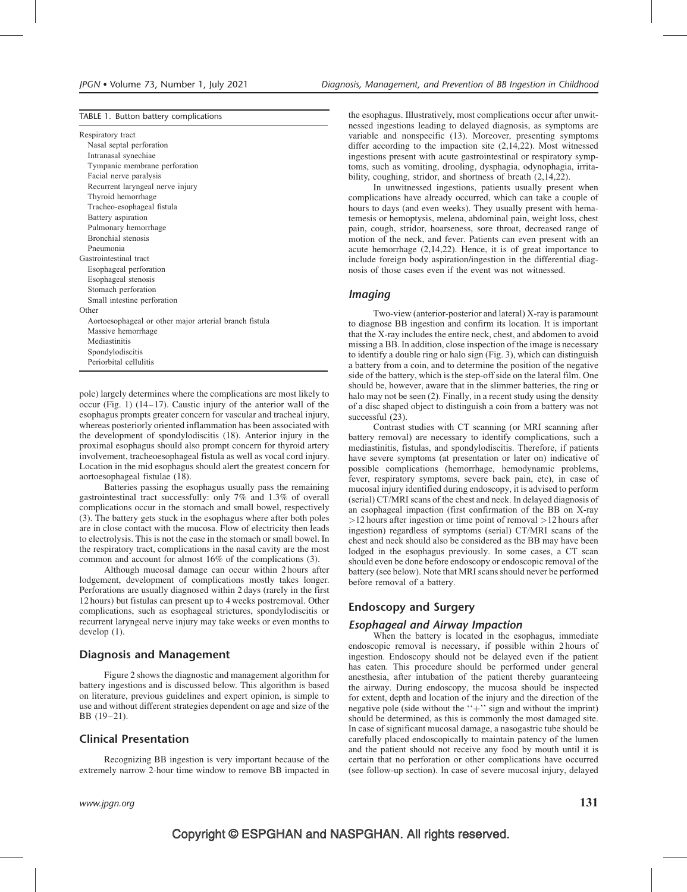#### TABLE 1. Button battery complications

| Respiratory tract |  |
|-------------------|--|
|-------------------|--|

Nasal septal perforation Intranasal synechiae Tympanic membrane perforation Facial nerve paralysis Recurrent laryngeal nerve injury Thyroid hemorrhage Tracheo-esophageal fistula Battery aspiration Pulmonary hemorrhage Bronchial stenosis Pneumonia Gastrointestinal tract Esophageal perforation Esophageal stenosis Stomach perforation Small intestine perforation **Other** Aortoesophageal or other major arterial branch fistula Massive hemorrhage Mediastinitis Spondylodiscitis Periorbital cellulitis

pole) largely determines where the complications are most likely to occur (Fig. 1) (14–17). Caustic injury of the anterior wall of the esophagus prompts greater concern for vascular and tracheal injury, whereas posteriorly oriented inflammation has been associated with the development of spondylodiscitis (18). Anterior injury in the proximal esophagus should also prompt concern for thyroid artery involvement, tracheoesophageal fistula as well as vocal cord injury. Location in the mid esophagus should alert the greatest concern for aortoesophageal fistulae (18).

Batteries passing the esophagus usually pass the remaining gastrointestinal tract successfully: only 7% and 1.3% of overall complications occur in the stomach and small bowel, respectively (3). The battery gets stuck in the esophagus where after both poles are in close contact with the mucosa. Flow of electricity then leads to electrolysis. This is not the case in the stomach or small bowel. In the respiratory tract, complications in the nasal cavity are the most common and account for almost 16% of the complications (3).

Although mucosal damage can occur within 2 hours after lodgement, development of complications mostly takes longer. Perforations are usually diagnosed within 2 days (rarely in the first 12 hours) but fistulas can present up to 4 weeks postremoval. Other complications, such as esophageal strictures, spondylodiscitis or recurrent laryngeal nerve injury may take weeks or even months to develop (1).

#### Diagnosis and Management

Figure 2 shows the diagnostic and management algorithm for battery ingestions and is discussed below. This algorithm is based on literature, previous guidelines and expert opinion, is simple to use and without different strategies dependent on age and size of the BB (19–21).

#### Clinical Presentation

Recognizing BB ingestion is very important because of the extremely narrow 2-hour time window to remove BB impacted in the esophagus. Illustratively, most complications occur after unwitnessed ingestions leading to delayed diagnosis, as symptoms are variable and nonspecific (13). Moreover, presenting symptoms differ according to the impaction site (2,14,22). Most witnessed ingestions present with acute gastrointestinal or respiratory symptoms, such as vomiting, drooling, dysphagia, odynophagia, irritability, coughing, stridor, and shortness of breath (2,14,22).

In unwitnessed ingestions, patients usually present when complications have already occurred, which can take a couple of hours to days (and even weeks). They usually present with hematemesis or hemoptysis, melena, abdominal pain, weight loss, chest pain, cough, stridor, hoarseness, sore throat, decreased range of motion of the neck, and fever. Patients can even present with an acute hemorrhage (2,14,22). Hence, it is of great importance to include foreign body aspiration/ingestion in the differential diagnosis of those cases even if the event was not witnessed.

#### Imaging

Two-view (anterior-posterior and lateral) X-ray is paramount to diagnose BB ingestion and confirm its location. It is important that the X-ray includes the entire neck, chest, and abdomen to avoid missing a BB. In addition, close inspection of the image is necessary to identify a double ring or halo sign (Fig. 3), which can distinguish a battery from a coin, and to determine the position of the negative side of the battery, which is the step-off side on the lateral film. One should be, however, aware that in the slimmer batteries, the ring or halo may not be seen (2). Finally, in a recent study using the density of a disc shaped object to distinguish a coin from a battery was not successful  $(23)$ .

Contrast studies with CT scanning (or MRI scanning after battery removal) are necessary to identify complications, such a mediastinitis, fistulas, and spondylodiscitis. Therefore, if patients have severe symptoms (at presentation or later on) indicative of possible complications (hemorrhage, hemodynamic problems, fever, respiratory symptoms, severe back pain, etc), in case of mucosal injury identified during endoscopy, it is advised to perform (serial) CT/MRI scans of the chest and neck. In delayed diagnosis of an esophageal impaction (first confirmation of the BB on X-ray >12 hours after ingestion or time point of removal >12 hours after ingestion) regardless of symptoms (serial) CT/MRI scans of the chest and neck should also be considered as the BB may have been lodged in the esophagus previously. In some cases, a CT scan should even be done before endoscopy or endoscopic removal of the battery (see below). Note that MRI scans should never be performed before removal of a battery.

#### Endoscopy and Surgery

#### Esophageal and Airway Impaction

When the battery is located in the esophagus, immediate endoscopic removal is necessary, if possible within 2 hours of ingestion. Endoscopy should not be delayed even if the patient has eaten. This procedure should be performed under general anesthesia, after intubation of the patient thereby guaranteeing the airway. During endoscopy, the mucosa should be inspected for extent, depth and location of the injury and the direction of the negative pole (side without the  $+$ '' sign and without the imprint) should be determined, as this is commonly the most damaged site. In case of significant mucosal damage, a nasogastric tube should be carefully placed endoscopically to maintain patency of the lumen and the patient should not receive any food by mouth until it is certain that no perforation or other complications have occurred (see follow-up section). In case of severe mucosal injury, delayed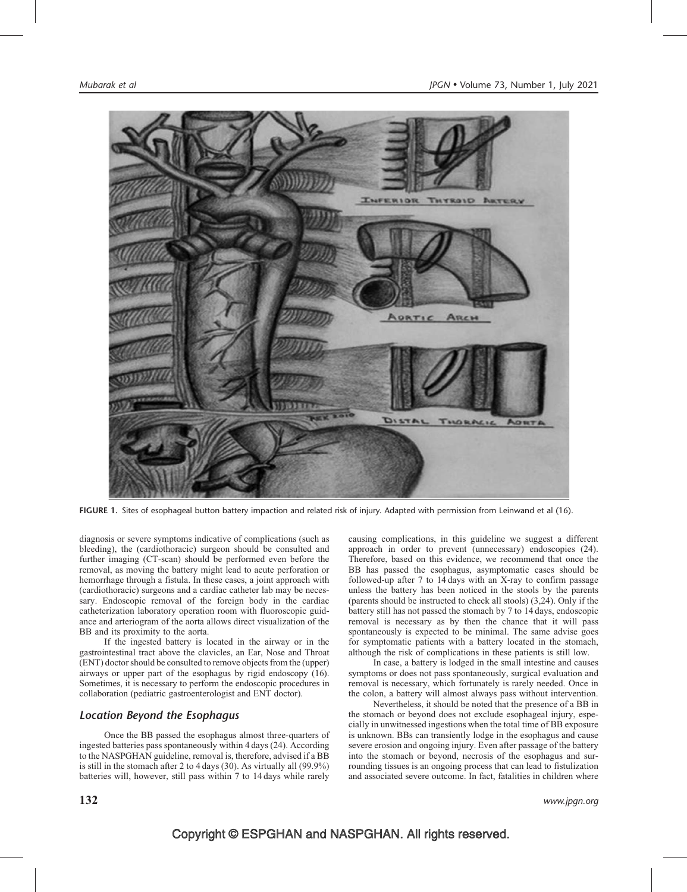

FIGURE 1. Sites of esophageal button battery impaction and related risk of injury. Adapted with permission from Leinwand et al (16).

diagnosis or severe symptoms indicative of complications (such as bleeding), the (cardiothoracic) surgeon should be consulted and further imaging (CT-scan) should be performed even before the removal, as moving the battery might lead to acute perforation or hemorrhage through a fistula. In these cases, a joint approach with (cardiothoracic) surgeons and a cardiac catheter lab may be necessary. Endoscopic removal of the foreign body in the cardiac catheterization laboratory operation room with fluoroscopic guidance and arteriogram of the aorta allows direct visualization of the BB and its proximity to the aorta.

If the ingested battery is located in the airway or in the gastrointestinal tract above the clavicles, an Ear, Nose and Throat (ENT) doctor should be consulted to remove objects from the (upper) airways or upper part of the esophagus by rigid endoscopy (16). Sometimes, it is necessary to perform the endoscopic procedures in collaboration (pediatric gastroenterologist and ENT doctor).

#### Location Beyond the Esophagus

Once the BB passed the esophagus almost three-quarters of ingested batteries pass spontaneously within 4 days (24). According to the NASPGHAN guideline, removal is, therefore, advised if a BB is still in the stomach after 2 to 4 days (30). As virtually all (99.9%) batteries will, however, still pass within 7 to 14 days while rarely

causing complications, in this guideline we suggest a different approach in order to prevent (unnecessary) endoscopies (24). Therefore, based on this evidence, we recommend that once the BB has passed the esophagus, asymptomatic cases should be followed-up after 7 to 14 days with an X-ray to confirm passage unless the battery has been noticed in the stools by the parents (parents should be instructed to check all stools) (3,24). Only if the battery still has not passed the stomach by 7 to 14 days, endoscopic removal is necessary as by then the chance that it will pass spontaneously is expected to be minimal. The same advise goes for symptomatic patients with a battery located in the stomach, although the risk of complications in these patients is still low.

In case, a battery is lodged in the small intestine and causes symptoms or does not pass spontaneously, surgical evaluation and removal is necessary, which fortunately is rarely needed. Once in the colon, a battery will almost always pass without intervention.

Nevertheless, it should be noted that the presence of a BB in the stomach or beyond does not exclude esophageal injury, especially in unwitnessed ingestions when the total time of BB exposure is unknown. BBs can transiently lodge in the esophagus and cause severe erosion and ongoing injury. Even after passage of the battery into the stomach or beyond, necrosis of the esophagus and surrounding tissues is an ongoing process that can lead to fistulization and associated severe outcome. In fact, fatalities in children where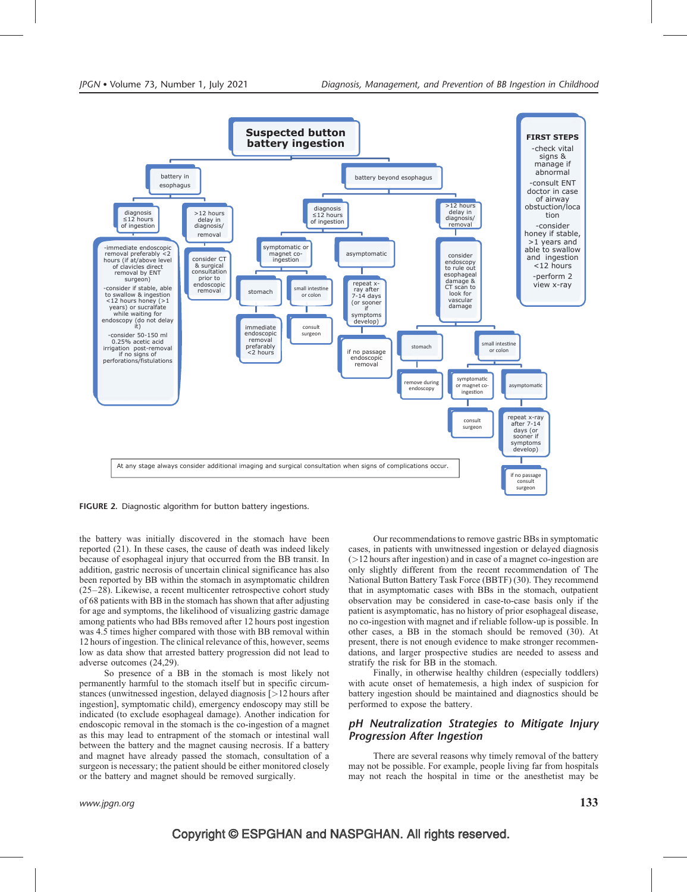

FIGURE 2. Diagnostic algorithm for button battery ingestions.

the battery was initially discovered in the stomach have been reported (21). In these cases, the cause of death was indeed likely because of esophageal injury that occurred from the BB transit. In addition, gastric necrosis of uncertain clinical significance has also been reported by BB within the stomach in asymptomatic children (25–28). Likewise, a recent multicenter retrospective cohort study of 68 patients with BB in the stomach has shown that after adjusting for age and symptoms, the likelihood of visualizing gastric damage among patients who had BBs removed after 12 hours post ingestion was 4.5 times higher compared with those with BB removal within 12 hours of ingestion. The clinical relevance of this, however, seems low as data show that arrested battery progression did not lead to adverse outcomes (24,29).

So presence of a BB in the stomach is most likely not permanently harmful to the stomach itself but in specific circumstances (unwitnessed ingestion, delayed diagnosis [>12 hours after ingestion], symptomatic child), emergency endoscopy may still be indicated (to exclude esophageal damage). Another indication for endoscopic removal in the stomach is the co-ingestion of a magnet as this may lead to entrapment of the stomach or intestinal wall between the battery and the magnet causing necrosis. If a battery and magnet have already passed the stomach, consultation of a surgeon is necessary; the patient should be either monitored closely or the battery and magnet should be removed surgically.

Our recommendations to remove gastric BBs in symptomatic cases, in patients with unwitnessed ingestion or delayed diagnosis  $($  > 12 hours after ingestion) and in case of a magnet co-ingestion are only slightly different from the recent recommendation of The National Button Battery Task Force (BBTF) (30). They recommend that in asymptomatic cases with BBs in the stomach, outpatient observation may be considered in case-to-case basis only if the patient is asymptomatic, has no history of prior esophageal disease, no co-ingestion with magnet and if reliable follow-up is possible. In other cases, a BB in the stomach should be removed (30). At present, there is not enough evidence to make stronger recommendations, and larger prospective studies are needed to assess and stratify the risk for BB in the stomach.

Finally, in otherwise healthy children (especially toddlers) with acute onset of hematemesis, a high index of suspicion for battery ingestion should be maintained and diagnostics should be performed to expose the battery.

#### pH Neutralization Strategies to Mitigate Injury Progression After Ingestion

There are several reasons why timely removal of the battery may not be possible. For example, people living far from hospitals may not reach the hospital in time or the anesthetist may be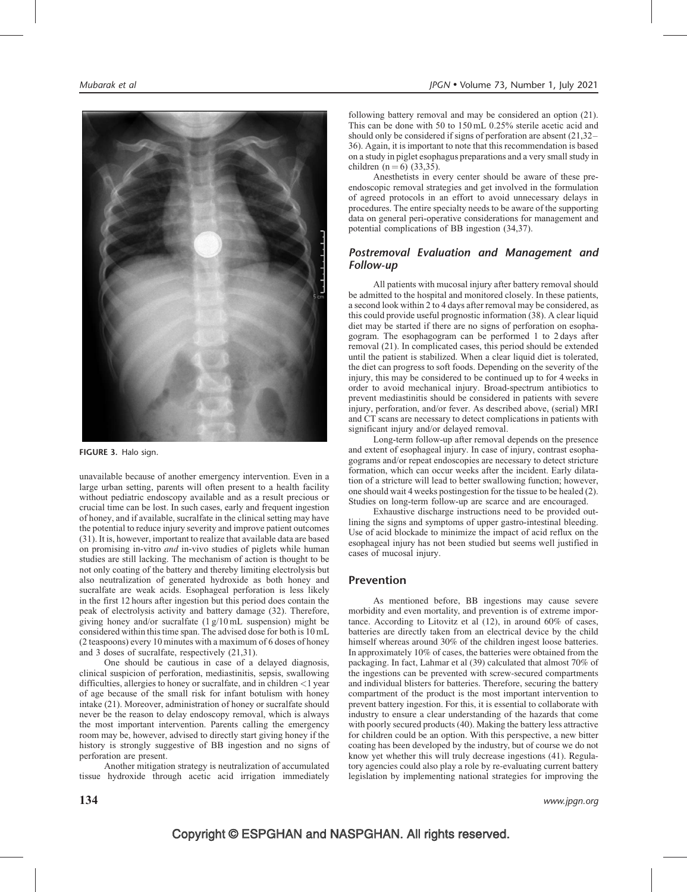

FIGURE 3. Halo sign.

unavailable because of another emergency intervention. Even in a large urban setting, parents will often present to a health facility without pediatric endoscopy available and as a result precious or crucial time can be lost. In such cases, early and frequent ingestion of honey, and if available, sucralfate in the clinical setting may have the potential to reduce injury severity and improve patient outcomes (31). It is, however, important to realize that available data are based on promising in-vitro and in-vivo studies of piglets while human studies are still lacking. The mechanism of action is thought to be not only coating of the battery and thereby limiting electrolysis but also neutralization of generated hydroxide as both honey and sucralfate are weak acids. Esophageal perforation is less likely in the first 12 hours after ingestion but this period does contain the peak of electrolysis activity and battery damage (32). Therefore, giving honey and/or sucralfate (1 g/10 mL suspension) might be considered within this time span. The advised dose for both is 10 mL (2 teaspoons) every 10 minutes with a maximum of 6 doses of honey and 3 doses of sucralfate, respectively (21,31).

One should be cautious in case of a delayed diagnosis, clinical suspicion of perforation, mediastinitis, sepsis, swallowing difficulties, allergies to honey or sucralfate, and in children  $\langle 1 \rangle$  year of age because of the small risk for infant botulism with honey intake (21). Moreover, administration of honey or sucralfate should never be the reason to delay endoscopy removal, which is always the most important intervention. Parents calling the emergency room may be, however, advised to directly start giving honey if the history is strongly suggestive of BB ingestion and no signs of perforation are present.

Another mitigation strategy is neutralization of accumulated tissue hydroxide through acetic acid irrigation immediately

following battery removal and may be considered an option (21). This can be done with 50 to 150 mL 0.25% sterile acetic acid and should only be considered if signs of perforation are absent (21,32– 36). Again, it is important to note that this recommendation is based on a study in piglet esophagus preparations and a very small study in children  $(n = 6)$  (33,35).

Anesthetists in every center should be aware of these preendoscopic removal strategies and get involved in the formulation of agreed protocols in an effort to avoid unnecessary delays in procedures. The entire specialty needs to be aware of the supporting data on general peri-operative considerations for management and potential complications of BB ingestion (34,37).

#### Postremoval Evaluation and Management and Follow-up

All patients with mucosal injury after battery removal should be admitted to the hospital and monitored closely. In these patients, a second look within 2 to 4 days after removal may be considered, as this could provide useful prognostic information (38). A clear liquid diet may be started if there are no signs of perforation on esophagogram. The esophagogram can be performed 1 to 2 days after removal (21). In complicated cases, this period should be extended until the patient is stabilized. When a clear liquid diet is tolerated, the diet can progress to soft foods. Depending on the severity of the injury, this may be considered to be continued up to for 4 weeks in order to avoid mechanical injury. Broad-spectrum antibiotics to prevent mediastinitis should be considered in patients with severe injury, perforation, and/or fever. As described above, (serial) MRI and CT scans are necessary to detect complications in patients with significant injury and/or delayed removal.

Long-term follow-up after removal depends on the presence and extent of esophageal injury. In case of injury, contrast esophagograms and/or repeat endoscopies are necessary to detect stricture formation, which can occur weeks after the incident. Early dilatation of a stricture will lead to better swallowing function; however, one should wait 4 weeks postingestion for the tissue to be healed (2). Studies on long-term follow-up are scarce and are encouraged.

Exhaustive discharge instructions need to be provided outlining the signs and symptoms of upper gastro-intestinal bleeding. Use of acid blockade to minimize the impact of acid reflux on the esophageal injury has not been studied but seems well justified in cases of mucosal injury.

#### Prevention

As mentioned before, BB ingestions may cause severe morbidity and even mortality, and prevention is of extreme importance. According to Litovitz et al (12), in around 60% of cases, batteries are directly taken from an electrical device by the child himself whereas around 30% of the children ingest loose batteries. In approximately 10% of cases, the batteries were obtained from the packaging. In fact, Lahmar et al (39) calculated that almost 70% of the ingestions can be prevented with screw-secured compartments and individual blisters for batteries. Therefore, securing the battery compartment of the product is the most important intervention to prevent battery ingestion. For this, it is essential to collaborate with industry to ensure a clear understanding of the hazards that come with poorly secured products (40). Making the battery less attractive for children could be an option. With this perspective, a new bitter coating has been developed by the industry, but of course we do not know yet whether this will truly decrease ingestions (41). Regulatory agencies could also play a role by re-evaluating current battery legislation by implementing national strategies for improving the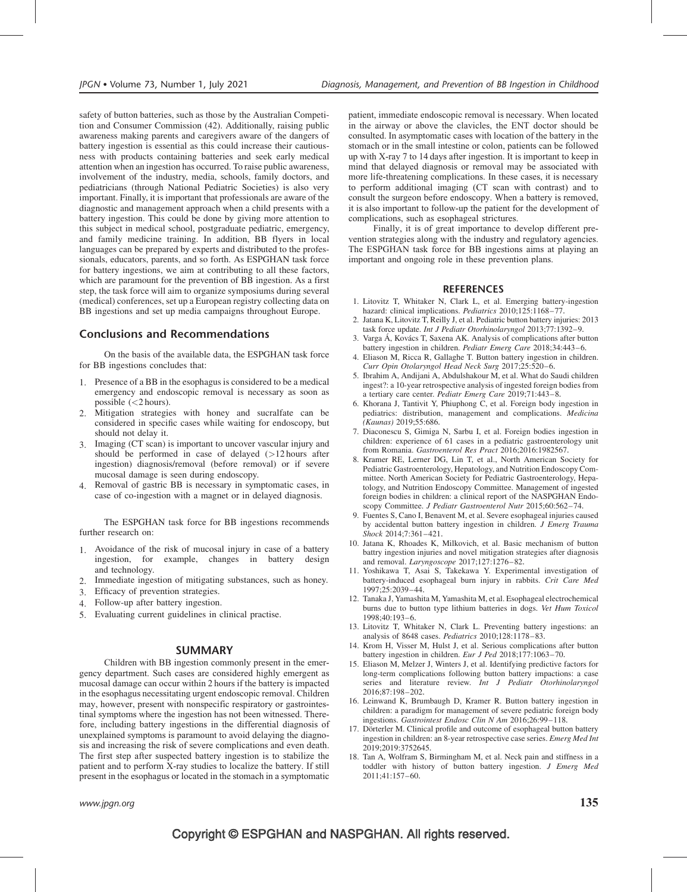safety of button batteries, such as those by the Australian Competition and Consumer Commission (42). Additionally, raising public awareness making parents and caregivers aware of the dangers of battery ingestion is essential as this could increase their cautiousness with products containing batteries and seek early medical attention when an ingestion has occurred. To raise public awareness, involvement of the industry, media, schools, family doctors, and pediatricians (through National Pediatric Societies) is also very important. Finally, it is important that professionals are aware of the diagnostic and management approach when a child presents with a battery ingestion. This could be done by giving more attention to this subject in medical school, postgraduate pediatric, emergency, and family medicine training. In addition, BB flyers in local languages can be prepared by experts and distributed to the professionals, educators, parents, and so forth. As ESPGHAN task force for battery ingestions, we aim at contributing to all these factors, which are paramount for the prevention of BB ingestion. As a first step, the task force will aim to organize symposiums during several (medical) conferences, set up a European registry collecting data on BB ingestions and set up media campaigns throughout Europe.

### Conclusions and Recommendations

On the basis of the available data, the ESPGHAN task force for BB ingestions concludes that:

- 1. Presence of a BB in the esophagus is considered to be a medical emergency and endoscopic removal is necessary as soon as possible  $(<2$  hours).
- 2. Mitigation strategies with honey and sucralfate can be considered in specific cases while waiting for endoscopy, but should not delay it.
- 3. Imaging (CT scan) is important to uncover vascular injury and should be performed in case of delayed (>12 hours after ingestion) diagnosis/removal (before removal) or if severe mucosal damage is seen during endoscopy.
- 4. Removal of gastric BB is necessary in symptomatic cases, in case of co-ingestion with a magnet or in delayed diagnosis.

The ESPGHAN task force for BB ingestions recommends further research on:

- 1. Avoidance of the risk of mucosal injury in case of a battery ingestion, for example, changes in battery design and technology.
- 2. Immediate ingestion of mitigating substances, such as honey.
- 3. Efficacy of prevention strategies.
- 4. Follow-up after battery ingestion.
- 5. Evaluating current guidelines in clinical practise.

#### SUMMARY

Children with BB ingestion commonly present in the emergency department. Such cases are considered highly emergent as mucosal damage can occur within 2 hours if the battery is impacted in the esophagus necessitating urgent endoscopic removal. Children may, however, present with nonspecific respiratory or gastrointestinal symptoms where the ingestion has not been witnessed. Therefore, including battery ingestions in the differential diagnosis of unexplained symptoms is paramount to avoid delaying the diagnosis and increasing the risk of severe complications and even death. The first step after suspected battery ingestion is to stabilize the patient and to perform X-ray studies to localize the battery. If still present in the esophagus or located in the stomach in a symptomatic

www.jpgn.org  $\qquad \qquad \qquad 135$ 

patient, immediate endoscopic removal is necessary. When located in the airway or above the clavicles, the ENT doctor should be consulted. In asymptomatic cases with location of the battery in the stomach or in the small intestine or colon, patients can be followed up with X-ray 7 to 14 days after ingestion. It is important to keep in mind that delayed diagnosis or removal may be associated with more life-threatening complications. In these cases, it is necessary to perform additional imaging (CT scan with contrast) and to consult the surgeon before endoscopy. When a battery is removed, it is also important to follow-up the patient for the development of complications, such as esophageal strictures.

Finally, it is of great importance to develop different prevention strategies along with the industry and regulatory agencies. The ESPGHAN task force for BB ingestions aims at playing an important and ongoing role in these prevention plans.

#### **REFERENCES**

- 1. Litovitz T, Whitaker N, Clark L, et al. Emerging battery-ingestion hazard: clinical implications. Pediatrics 2010;125:1168-77.
- 2. Jatana K, Litovitz T, Reilly J, et al. Pediatric button battery injuries: 2013 task force update. Int J Pediatr Otorhinolaryngol 2013;77:1392–9.
- 3. Varga Á, Kovács T, Saxena AK. Analysis of complications after button battery ingestion in children. Pediatr Emerg Care 2018;34:443–6.
- 4. Eliason M, Ricca R, Gallaghe T. Button battery ingestion in children. Curr Opin Otolaryngol Head Neck Surg 2017;25:520–6.
- 5. Ibrahim A, Andijani A, Abdulshakour M, et al. What do Saudi children ingest?: a 10-year retrospective analysis of ingested foreign bodies from a tertiary care center. Pediatr Emerg Care 2019;71:443–8.
- 6. Khorana J, Tantivit Y, Phiuphong C, et al. Foreign body ingestion in pediatrics: distribution, management and complications. Medicina (Kaunas) 2019;55:686.
- 7. Diaconescu S, Gimiga N, Sarbu I, et al. Foreign bodies ingestion in children: experience of 61 cases in a pediatric gastroenterology unit from Romania. Gastroenterol Res Pract 2016;2016:1982567.
- 8. Kramer RE, Lerner DG, Lin T, et al., North American Society for Pediatric Gastroenterology, Hepatology, and Nutrition Endoscopy Committee. North American Society for Pediatric Gastroenterology, Hepatology, and Nutrition Endoscopy Committee. Management of ingested foreign bodies in children: a clinical report of the NASPGHAN Endoscopy Committee. J Pediatr Gastroenterol Nutr 2015;60:562-74.
- 9. Fuentes S, Cano I, Benavent M, et al. Severe esophageal injuries caused by accidental button battery ingestion in children. J Emerg Trauma Shock 2014;7:361–421.
- 10. Jatana K, Rhoades K, Milkovich, et al. Basic mechanism of button battry ingestion injuries and novel mitigation strategies after diagnosis and removal. Laryngoscope 2017;127:1276–82.
- 11. Yoshikawa T, Asai S, Takekawa Y. Experimental investigation of battery-induced esophageal burn injury in rabbits. Crit Care Med 1997;25:2039–44.
- 12. Tanaka J, Yamashita M, Yamashita M, et al. Esophageal electrochemical burns due to button type lithium batteries in dogs. Vet Hum Toxicol 1998;40:193–6.
- 13. Litovitz T, Whitaker N, Clark L. Preventing battery ingestions: an analysis of 8648 cases. Pediatrics 2010;128:1178–83.
- 14. Krom H, Visser M, Hulst J, et al. Serious complications after button battery ingestion in children. Eur J Ped 2018;177:1063–70.
- 15. Eliason M, Melzer J, Winters J, et al. Identifying predictive factors for long-term complications following button battery impactions: a case series and literature review. Int J Pediatr Otorhinolaryngol 2016;87:198–202.
- 16. Leinwand K, Brumbaugh D, Kramer R. Button battery ingestion in children: a paradigm for management of severe pediatric foreign body ingestions. Gastrointest Endosc Clin N Am 2016;26:99–118.
- 17. Dörterler M. Clinical profile and outcome of esophageal button battery ingestion in children: an 8-year retrospective case series. Emerg Med Int 2019;2019:3752645.
- 18. Tan A, Wolfram S, Birmingham M, et al. Neck pain and stiffness in a toddler with history of button battery ingestion. J Emerg Med 2011;41:157–60.